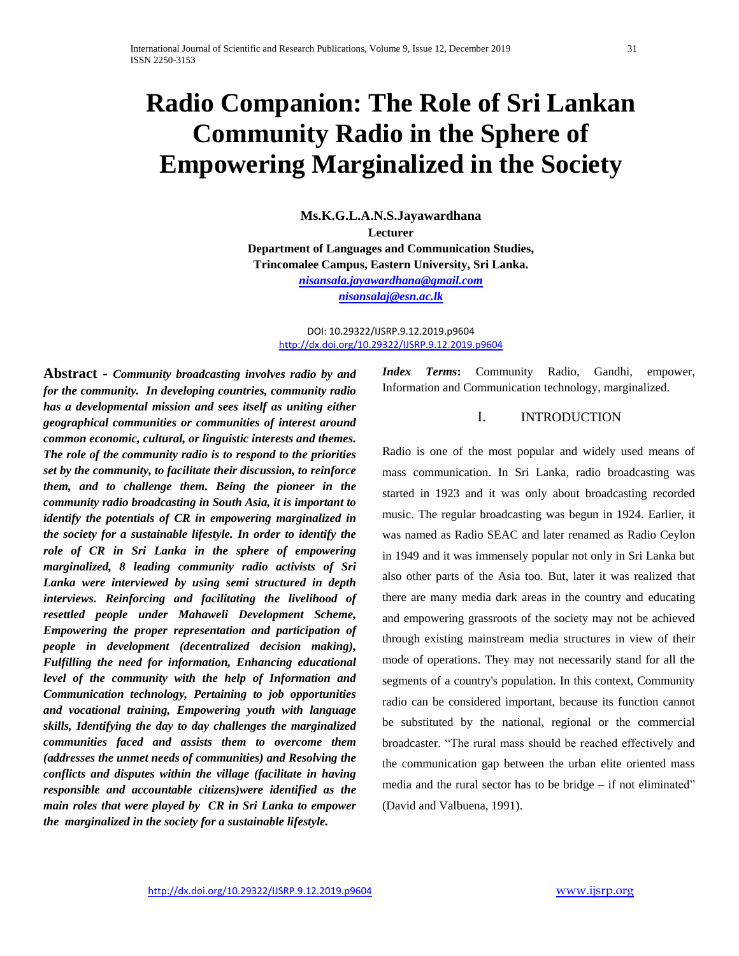# **Radio Companion: The Role of Sri Lankan Community Radio in the Sphere of Empowering Marginalized in the Society**

**Ms.K.G.L.A.N.S.Jayawardhana Lecturer Department of Languages and Communication Studies,** 

**Trincomalee Campus, Eastern University, Sri Lanka.** 

*[nisansala.jayawardhana@gmail.com](mailto:nisansala.jayawardhana@gmail.com) [nisansalaj@esn.ac.lk](mailto:nisansalaj@esn.ac.lk)*

DOI: 10.29322/IJSRP.9.12.2019.p9604 <http://dx.doi.org/10.29322/IJSRP.9.12.2019.p9604>

**Abstract -** *Community broadcasting involves radio by and for the community. In developing countries, community radio has a developmental mission and sees itself as uniting either geographical communities or communities of interest around common economic, cultural, or linguistic interests and themes. The role of the community radio is to respond to the priorities set by the community, to facilitate their discussion, to reinforce them, and to challenge them. Being the pioneer in the community radio broadcasting in South Asia, it is important to identify the potentials of CR in empowering marginalized in the society for a sustainable lifestyle. In order to identify the role of CR in Sri Lanka in the sphere of empowering marginalized, 8 leading community radio activists of Sri Lanka were interviewed by using semi structured in depth interviews. Reinforcing and facilitating the livelihood of resettled people under Mahaweli Development Scheme, Empowering the proper representation and participation of people in development (decentralized decision making), Fulfilling the need for information, Enhancing educational level of the community with the help of Information and Communication technology, Pertaining to job opportunities and vocational training, Empowering youth with language skills, Identifying the day to day challenges the marginalized communities faced and assists them to overcome them (addresses the unmet needs of communities) and Resolving the conflicts and disputes within the village (facilitate in having responsible and accountable citizens)were identified as the main roles that were played by CR in Sri Lanka to empower the marginalized in the society for a sustainable lifestyle.*

*Index Terms***:** Community Radio, Gandhi, empower, Information and Communication technology, marginalized.

## I. INTRODUCTION

Radio is one of the most popular and widely used means of mass communication. In Sri Lanka, radio broadcasting was started in 1923 and it was only about broadcasting recorded music. The regular broadcasting was begun in 1924. Earlier, it was named as Radio SEAC and later renamed as Radio Ceylon in 1949 and it was immensely popular not only in Sri Lanka but also other parts of the Asia too. But, later it was realized that there are many media dark areas in the country and educating and empowering grassroots of the society may not be achieved through existing mainstream media structures in view of their mode of operations. They may not necessarily stand for all the segments of a country's population. In this context, Community radio can be considered important, because its function cannot be substituted by the national, regional or the commercial broadcaster. "The rural mass should be reached effectively and the communication gap between the urban elite oriented mass media and the rural sector has to be bridge – if not eliminated" (David and Valbuena, 1991).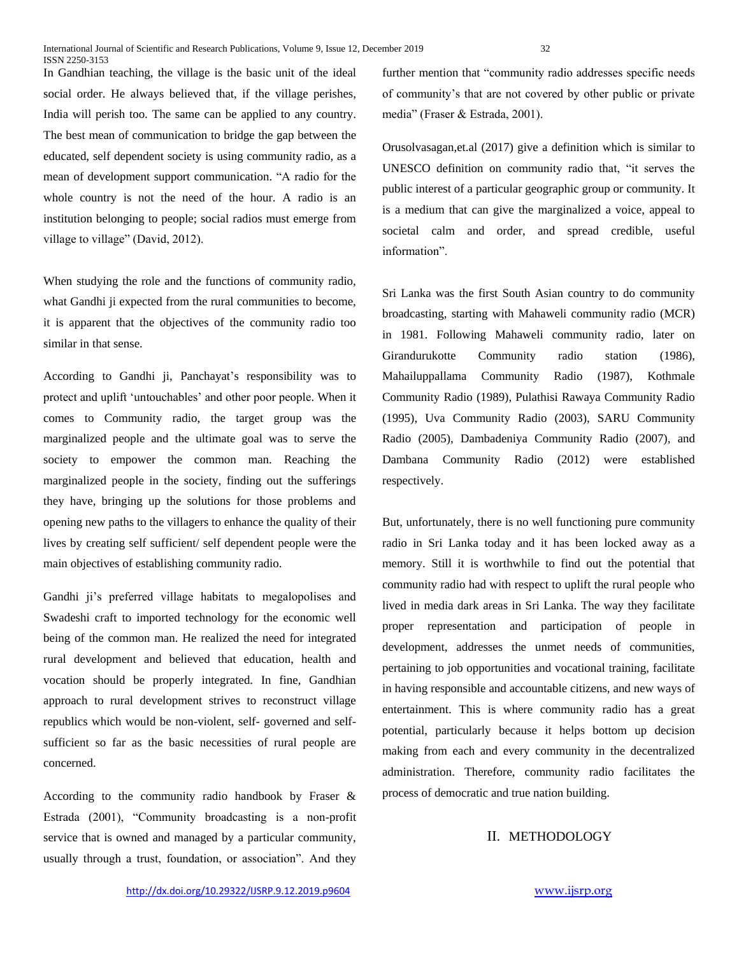In Gandhian teaching, the village is the basic unit of the ideal social order. He always believed that, if the village perishes, India will perish too. The same can be applied to any country. The best mean of communication to bridge the gap between the educated, self dependent society is using community radio, as a mean of development support communication. "A radio for the whole country is not the need of the hour. A radio is an institution belonging to people; social radios must emerge from village to village" (David, 2012).

When studying the role and the functions of community radio, what Gandhi ji expected from the rural communities to become, it is apparent that the objectives of the community radio too similar in that sense.

According to Gandhi ji, Panchayat's responsibility was to protect and uplift 'untouchables' and other poor people. When it comes to Community radio, the target group was the marginalized people and the ultimate goal was to serve the society to empower the common man. Reaching the marginalized people in the society, finding out the sufferings they have, bringing up the solutions for those problems and opening new paths to the villagers to enhance the quality of their lives by creating self sufficient/ self dependent people were the main objectives of establishing community radio.

Gandhi ji's preferred village habitats to megalopolises and Swadeshi craft to imported technology for the economic well being of the common man. He realized the need for integrated rural development and believed that education, health and vocation should be properly integrated. In fine, Gandhian approach to rural development strives to reconstruct village republics which would be non-violent, self- governed and selfsufficient so far as the basic necessities of rural people are concerned.

According to the community radio handbook by Fraser & Estrada (2001), "Community broadcasting is a non-profit service that is owned and managed by a particular community, usually through a trust, foundation, or association". And they

further mention that "community radio addresses specific needs of community's that are not covered by other public or private media" (Fraser & Estrada, 2001).

Orusolvasagan,et.al (2017) give a definition which is similar to UNESCO definition on community radio that, "it serves the public interest of a particular geographic group or community. It is a medium that can give the marginalized a voice, appeal to societal calm and order, and spread credible, useful information".

Sri Lanka was the first South Asian country to do community broadcasting, starting with Mahaweli community radio (MCR) in 1981. Following Mahaweli community radio, later on Girandurukotte Community radio station (1986), Mahailuppallama Community Radio (1987), Kothmale Community Radio (1989), Pulathisi Rawaya Community Radio (1995), Uva Community Radio (2003), SARU Community Radio (2005), Dambadeniya Community Radio (2007), and Dambana Community Radio (2012) were established respectively.

But, unfortunately, there is no well functioning pure community radio in Sri Lanka today and it has been locked away as a memory. Still it is worthwhile to find out the potential that community radio had with respect to uplift the rural people who lived in media dark areas in Sri Lanka. The way they facilitate proper representation and participation of people in development, addresses the unmet needs of communities, pertaining to job opportunities and vocational training, facilitate in having responsible and accountable citizens, and new ways of entertainment. This is where community radio has a great potential, particularly because it helps bottom up decision making from each and every community in the decentralized administration. Therefore, community radio facilitates the process of democratic and true nation building.

# II. METHODOLOGY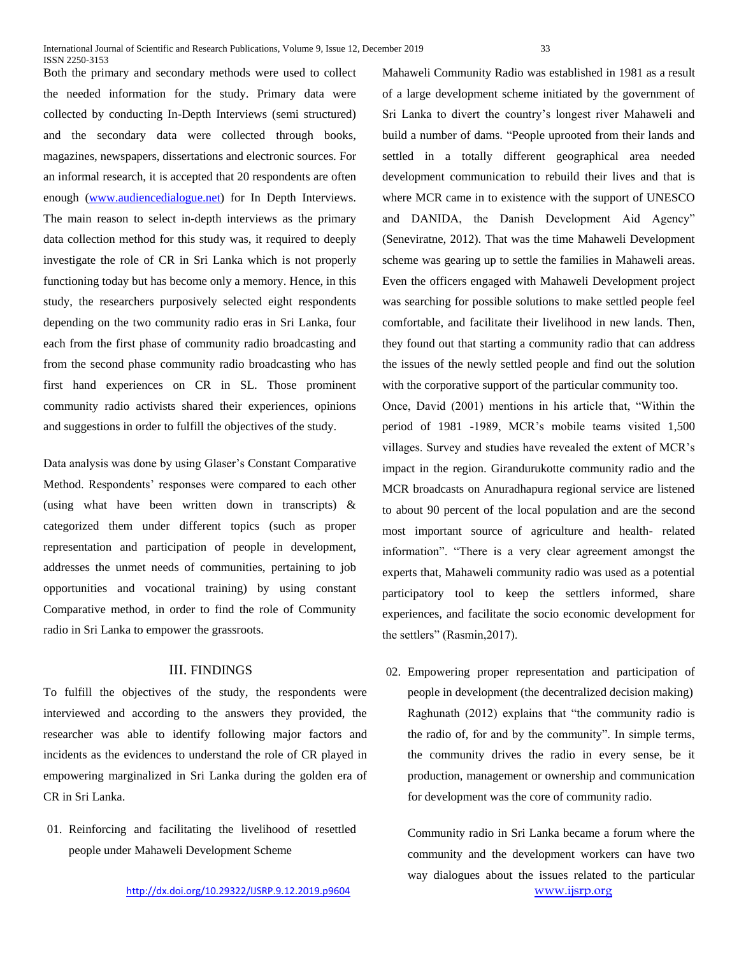Both the primary and secondary methods were used to collect the needed information for the study. Primary data were collected by conducting In-Depth Interviews (semi structured) and the secondary data were collected through books, magazines, newspapers, dissertations and electronic sources. For an informal research, it is accepted that 20 respondents are often enough [\(www.audiencedialogue.net\)](http://www.audiencedialogue.net/) for In Depth Interviews. The main reason to select in-depth interviews as the primary data collection method for this study was, it required to deeply investigate the role of CR in Sri Lanka which is not properly functioning today but has become only a memory. Hence, in this study, the researchers purposively selected eight respondents depending on the two community radio eras in Sri Lanka, four each from the first phase of community radio broadcasting and from the second phase community radio broadcasting who has first hand experiences on CR in SL. Those prominent community radio activists shared their experiences, opinions and suggestions in order to fulfill the objectives of the study.

Data analysis was done by using Glaser's Constant Comparative Method. Respondents' responses were compared to each other (using what have been written down in transcripts) & categorized them under different topics (such as proper representation and participation of people in development, addresses the unmet needs of communities, pertaining to job opportunities and vocational training) by using constant Comparative method, in order to find the role of Community radio in Sri Lanka to empower the grassroots.

## III. FINDINGS

To fulfill the objectives of the study, the respondents were interviewed and according to the answers they provided, the researcher was able to identify following major factors and incidents as the evidences to understand the role of CR played in empowering marginalized in Sri Lanka during the golden era of CR in Sri Lanka.

01. Reinforcing and facilitating the livelihood of resettled people under Mahaweli Development Scheme

Mahaweli Community Radio was established in 1981 as a result of a large development scheme initiated by the government of Sri Lanka to divert the country's longest river Mahaweli and build a number of dams. "People uprooted from their lands and settled in a totally different geographical area needed development communication to rebuild their lives and that is where MCR came in to existence with the support of UNESCO and DANIDA, the Danish Development Aid Agency" (Seneviratne, 2012). That was the time Mahaweli Development scheme was gearing up to settle the families in Mahaweli areas. Even the officers engaged with Mahaweli Development project was searching for possible solutions to make settled people feel comfortable, and facilitate their livelihood in new lands. Then, they found out that starting a community radio that can address the issues of the newly settled people and find out the solution with the corporative support of the particular community too.

Once, David (2001) mentions in his article that, "Within the period of 1981 -1989, MCR's mobile teams visited 1,500 villages. Survey and studies have revealed the extent of MCR's impact in the region. Girandurukotte community radio and the MCR broadcasts on Anuradhapura regional service are listened to about 90 percent of the local population and are the second most important source of agriculture and health- related information". "There is a very clear agreement amongst the experts that, Mahaweli community radio was used as a potential participatory tool to keep the settlers informed, share experiences, and facilitate the socio economic development for the settlers" (Rasmin,2017).

02. Empowering proper representation and participation of people in development (the decentralized decision making) Raghunath (2012) explains that "the community radio is the radio of, for and by the community". In simple terms, the community drives the radio in every sense, be it production, management or ownership and communication for development was the core of community radio.

Community radio in Sri Lanka became a forum where the community and the development workers can have two way dialogues about the issues related to the particular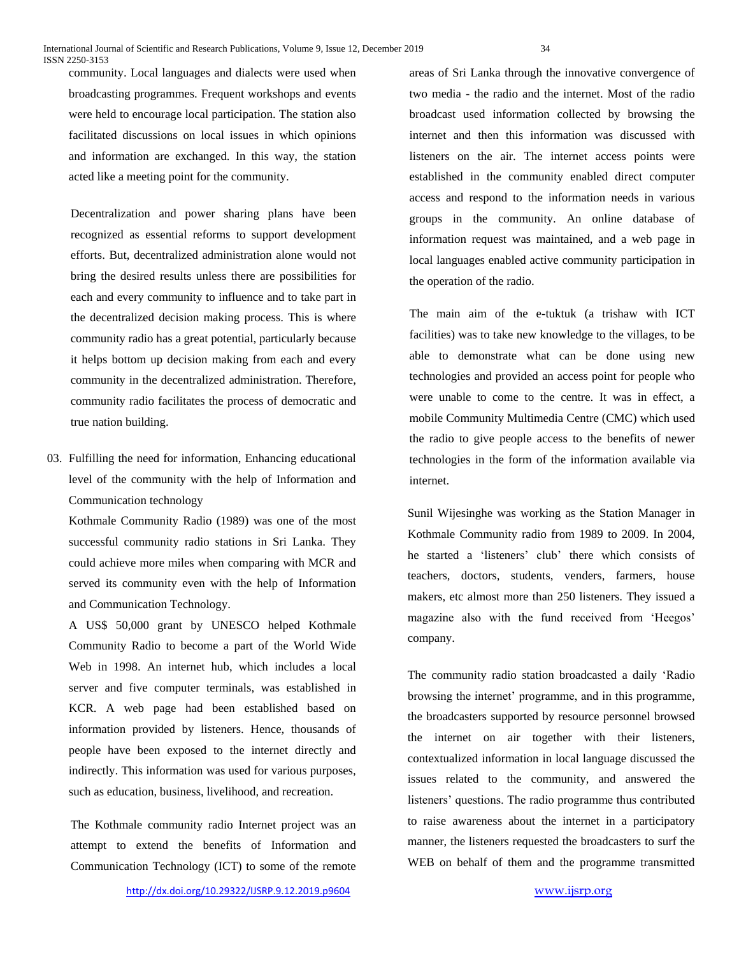community. Local languages and dialects were used when broadcasting programmes. Frequent workshops and events were held to encourage local participation. The station also facilitated discussions on local issues in which opinions and information are exchanged. In this way, the station acted like a meeting point for the community.

Decentralization and power sharing plans have been recognized as essential reforms to support development efforts. But, decentralized administration alone would not bring the desired results unless there are possibilities for each and every community to influence and to take part in the decentralized decision making process. This is where community radio has a great potential, particularly because it helps bottom up decision making from each and every community in the decentralized administration. Therefore, community radio facilitates the process of democratic and true nation building.

03. Fulfilling the need for information, Enhancing educational level of the community with the help of Information and Communication technology

Kothmale Community Radio (1989) was one of the most successful community radio stations in Sri Lanka. They could achieve more miles when comparing with MCR and served its community even with the help of Information and Communication Technology.

A US\$ 50,000 grant by UNESCO helped Kothmale Community Radio to become a part of the World Wide Web in 1998. An internet hub, which includes a local server and five computer terminals, was established in KCR. A web page had been established based on information provided by listeners. Hence, thousands of people have been exposed to the internet directly and indirectly. This information was used for various purposes, such as education, business, livelihood, and recreation.

The Kothmale community radio Internet project was an attempt to extend the benefits of Information and Communication Technology (ICT) to some of the remote

areas of Sri Lanka through the innovative convergence of two media - the radio and the internet. Most of the radio broadcast used information collected by browsing the internet and then this information was discussed with listeners on the air. The internet access points were established in the community enabled direct computer access and respond to the information needs in various groups in the community. An online database of information request was maintained, and a web page in local languages enabled active community participation in the operation of the radio.

The main aim of the e-tuktuk (a trishaw with ICT facilities) was to take new knowledge to the villages, to be able to demonstrate what can be done using new technologies and provided an access point for people who were unable to come to the centre. It was in effect, a mobile Community Multimedia Centre (CMC) which used the radio to give people access to the benefits of newer technologies in the form of the information available via internet.

Sunil Wijesinghe was working as the Station Manager in Kothmale Community radio from 1989 to 2009. In 2004, he started a 'listeners' club' there which consists of teachers, doctors, students, venders, farmers, house makers, etc almost more than 250 listeners. They issued a magazine also with the fund received from 'Heegos' company.

The community radio station broadcasted a daily 'Radio browsing the internet' programme, and in this programme, the broadcasters supported by resource personnel browsed the internet on air together with their listeners, contextualized information in local language discussed the issues related to the community, and answered the listeners' questions. The radio programme thus contributed to raise awareness about the internet in a participatory manner, the listeners requested the broadcasters to surf the WEB on behalf of them and the programme transmitted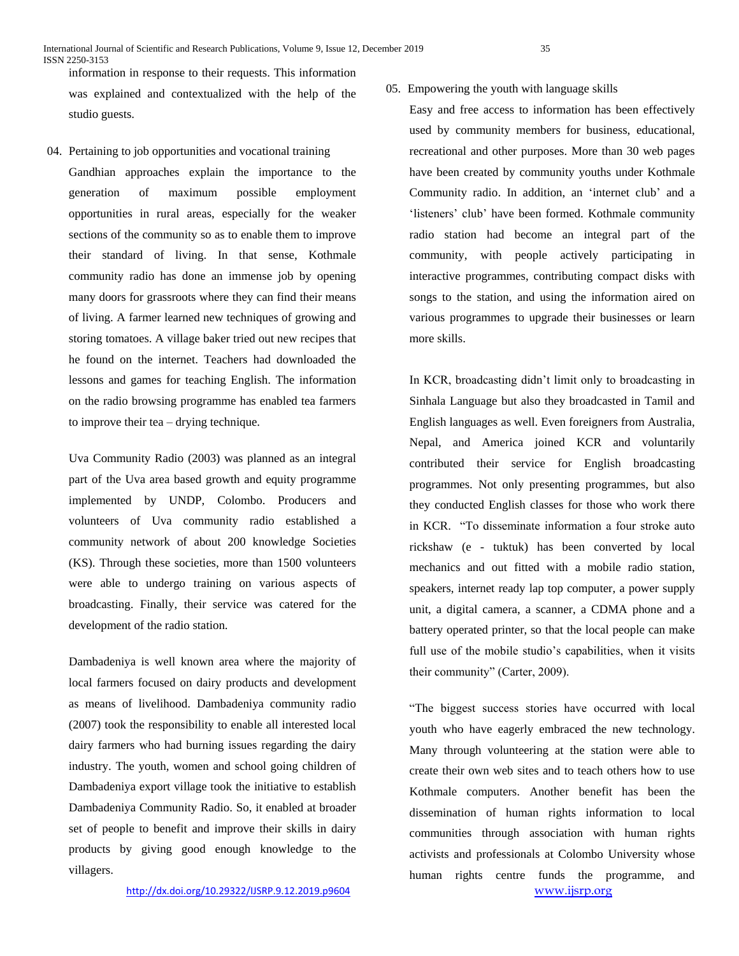information in response to their requests. This information was explained and contextualized with the help of the studio guests.

04. Pertaining to job opportunities and vocational training Gandhian approaches explain the importance to the generation of maximum possible employment opportunities in rural areas, especially for the weaker sections of the community so as to enable them to improve their standard of living. In that sense, Kothmale community radio has done an immense job by opening many doors for grassroots where they can find their means of living. A farmer learned new techniques of growing and storing tomatoes. A village baker tried out new recipes that he found on the internet. Teachers had downloaded the lessons and games for teaching English. The information on the radio browsing programme has enabled tea farmers to improve their tea – drying technique.

Uva Community Radio (2003) was planned as an integral part of the Uva area based growth and equity programme implemented by UNDP, Colombo. Producers and volunteers of Uva community radio established a community network of about 200 knowledge Societies (KS). Through these societies, more than 1500 volunteers were able to undergo training on various aspects of broadcasting. Finally, their service was catered for the development of the radio station.

Dambadeniya is well known area where the majority of local farmers focused on dairy products and development as means of livelihood. Dambadeniya community radio (2007) took the responsibility to enable all interested local dairy farmers who had burning issues regarding the dairy industry. The youth, women and school going children of Dambadeniya export village took the initiative to establish Dambadeniya Community Radio. So, it enabled at broader set of people to benefit and improve their skills in dairy products by giving good enough knowledge to the villagers.

### 05. Empowering the youth with language skills

Easy and free access to information has been effectively used by community members for business, educational, recreational and other purposes. More than 30 web pages have been created by community youths under Kothmale Community radio. In addition, an 'internet club' and a 'listeners' club' have been formed. Kothmale community radio station had become an integral part of the community, with people actively participating in interactive programmes, contributing compact disks with songs to the station, and using the information aired on various programmes to upgrade their businesses or learn more skills.

In KCR, broadcasting didn't limit only to broadcasting in Sinhala Language but also they broadcasted in Tamil and English languages as well. Even foreigners from Australia, Nepal, and America joined KCR and voluntarily contributed their service for English broadcasting programmes. Not only presenting programmes, but also they conducted English classes for those who work there in KCR. "To disseminate information a four stroke auto rickshaw (e - tuktuk) has been converted by local mechanics and out fitted with a mobile radio station, speakers, internet ready lap top computer, a power supply unit, a digital camera, a scanner, a CDMA phone and a battery operated printer, so that the local people can make full use of the mobile studio's capabilities, when it visits their community" (Carter, 2009).

<http://dx.doi.org/10.29322/IJSRP.9.12.2019.p9604>[www.ijsrp.org](http://ijsrp.org/) "The biggest success stories have occurred with local youth who have eagerly embraced the new technology. Many through volunteering at the station were able to create their own web sites and to teach others how to use Kothmale computers. Another benefit has been the dissemination of human rights information to local communities through association with human rights activists and professionals at Colombo University whose human rights centre funds the programme, and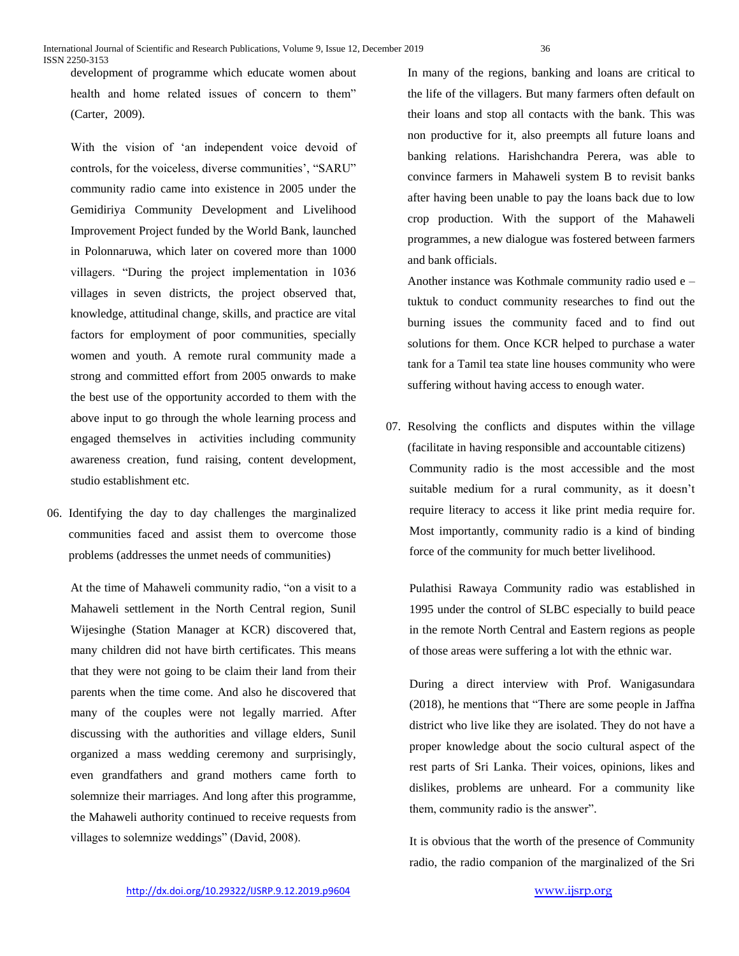development of programme which educate women about health and home related issues of concern to them" (Carter, 2009).

With the vision of 'an independent voice devoid of controls, for the voiceless, diverse communities', "SARU" community radio came into existence in 2005 under the Gemidiriya Community Development and Livelihood Improvement Project funded by the World Bank, launched in Polonnaruwa, which later on covered more than 1000 villagers. "During the project implementation in 1036 villages in seven districts, the project observed that, knowledge, attitudinal change, skills, and practice are vital factors for employment of poor communities, specially women and youth. A remote rural community made a strong and committed effort from 2005 onwards to make the best use of the opportunity accorded to them with the above input to go through the whole learning process and engaged themselves in activities including community awareness creation, fund raising, content development, studio establishment etc.

06. Identifying the day to day challenges the marginalized communities faced and assist them to overcome those problems (addresses the unmet needs of communities)

At the time of Mahaweli community radio, "on a visit to a Mahaweli settlement in the North Central region, Sunil Wijesinghe (Station Manager at KCR) discovered that, many children did not have birth certificates. This means that they were not going to be claim their land from their parents when the time come. And also he discovered that many of the couples were not legally married. After discussing with the authorities and village elders, Sunil organized a mass wedding ceremony and surprisingly, even grandfathers and grand mothers came forth to solemnize their marriages. And long after this programme, the Mahaweli authority continued to receive requests from villages to solemnize weddings" (David, 2008).

In many of the regions, banking and loans are critical to the life of the villagers. But many farmers often default on their loans and stop all contacts with the bank. This was non productive for it, also preempts all future loans and banking relations. Harishchandra Perera, was able to convince farmers in Mahaweli system B to revisit banks after having been unable to pay the loans back due to low crop production. With the support of the Mahaweli programmes, a new dialogue was fostered between farmers and bank officials.

Another instance was Kothmale community radio used e – tuktuk to conduct community researches to find out the burning issues the community faced and to find out solutions for them. Once KCR helped to purchase a water tank for a Tamil tea state line houses community who were suffering without having access to enough water.

07. Resolving the conflicts and disputes within the village (facilitate in having responsible and accountable citizens) Community radio is the most accessible and the most suitable medium for a rural community, as it doesn't require literacy to access it like print media require for. Most importantly, community radio is a kind of binding force of the community for much better livelihood.

Pulathisi Rawaya Community radio was established in 1995 under the control of SLBC especially to build peace in the remote North Central and Eastern regions as people of those areas were suffering a lot with the ethnic war.

During a direct interview with Prof. Wanigasundara (2018), he mentions that "There are some people in Jaffna district who live like they are isolated. They do not have a proper knowledge about the socio cultural aspect of the rest parts of Sri Lanka. Their voices, opinions, likes and dislikes, problems are unheard. For a community like them, community radio is the answer".

It is obvious that the worth of the presence of Community radio, the radio companion of the marginalized of the Sri